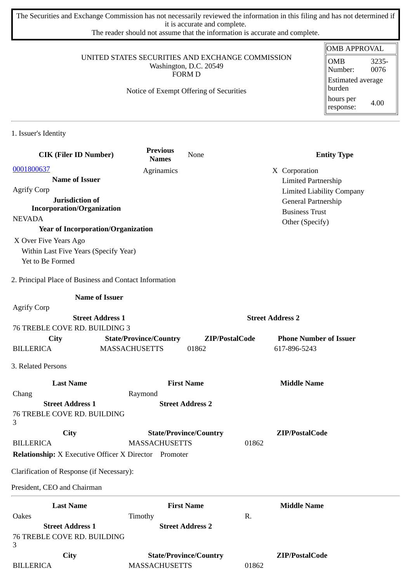The Securities and Exchange Commission has not necessarily reviewed the information in this filing and has not determined if it is accurate and complete.

The reader should not assume that the information is accurate and complete.

#### UNITED STATES SECURITIES AND EXCHANGE COMMISSION Washington, D.C. 20549 FORM D

### Notice of Exempt Offering of Securities

#### OMB APPROVAL OMB Number: 3235- 0076 Estimated average burden hours per response: 4.00

1. Issuer's Identity

| <b>CIK (Filer ID Number)</b>                                 | <b>Previous</b><br><b>Names</b> | None                          | <b>Entity Type</b>               |
|--------------------------------------------------------------|---------------------------------|-------------------------------|----------------------------------|
| 0001800637                                                   | Agrinamics                      |                               | X Corporation                    |
| <b>Name of Issuer</b>                                        |                                 |                               | <b>Limited Partnership</b>       |
| <b>Agrify Corp</b>                                           |                                 |                               | <b>Limited Liability Company</b> |
| Jurisdiction of                                              |                                 |                               | General Partnership              |
| <b>Incorporation/Organization</b>                            |                                 |                               | <b>Business Trust</b>            |
| <b>NEVADA</b>                                                |                                 |                               | Other (Specify)                  |
| <b>Year of Incorporation/Organization</b>                    |                                 |                               |                                  |
| X Over Five Years Ago                                        |                                 |                               |                                  |
| Within Last Five Years (Specify Year)                        |                                 |                               |                                  |
| Yet to Be Formed                                             |                                 |                               |                                  |
| 2. Principal Place of Business and Contact Information       |                                 |                               |                                  |
| <b>Name of Issuer</b>                                        |                                 |                               |                                  |
| <b>Agrify Corp</b>                                           |                                 |                               |                                  |
| <b>Street Address 1</b>                                      |                                 |                               | <b>Street Address 2</b>          |
| 76 TREBLE COVE RD. BUILDING 3                                |                                 |                               |                                  |
| City                                                         | <b>State/Province/Country</b>   | ZIP/PostalCode                | <b>Phone Number of Issuer</b>    |
| <b>BILLERICA</b>                                             | <b>MASSACHUSETTS</b>            | 01862                         | 617-896-5243                     |
| 3. Related Persons                                           |                                 |                               |                                  |
| <b>Last Name</b>                                             |                                 | <b>First Name</b>             | <b>Middle Name</b>               |
| Chang                                                        | Raymond                         |                               |                                  |
| <b>Street Address 1</b>                                      |                                 | <b>Street Address 2</b>       |                                  |
| 76 TREBLE COVE RD. BUILDING                                  |                                 |                               |                                  |
| 3                                                            |                                 |                               |                                  |
| City<br><b>BILLERICA</b>                                     |                                 | <b>State/Province/Country</b> | ZIP/PostalCode                   |
|                                                              | <b>MASSACHUSETTS</b>            | 01862                         |                                  |
| <b>Relationship:</b> X Executive Officer X Director Promoter |                                 |                               |                                  |
| Clarification of Response (if Necessary):                    |                                 |                               |                                  |
| President, CEO and Chairman                                  |                                 |                               |                                  |
| <b>Last Name</b>                                             |                                 | <b>First Name</b>             | <b>Middle Name</b>               |
| Oakes                                                        | Timothy                         | R.                            |                                  |
| <b>Street Address 1</b>                                      |                                 | <b>Street Address 2</b>       |                                  |
| 76 TREBLE COVE RD. BUILDING                                  |                                 |                               |                                  |
| 3                                                            |                                 |                               |                                  |
| <b>City</b>                                                  |                                 | <b>State/Province/Country</b> | ZIP/PostalCode                   |
| <b>BILLERICA</b>                                             | <b>MASSACHUSETTS</b>            | 01862                         |                                  |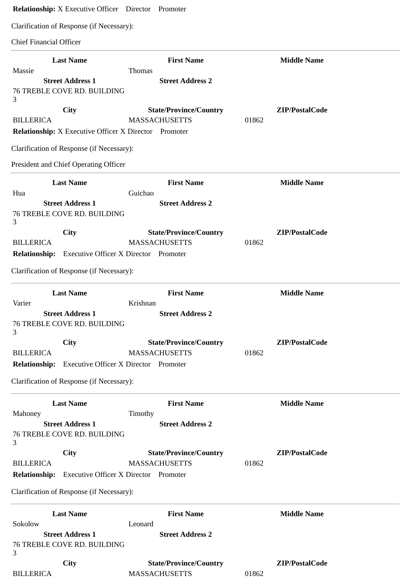# **Relationship:** X Executive Officer Director Promoter Clarification of Response (if Necessary): Chief Financial Officer **Last Name First Name Middle Name** Massie Thomas **Street Address 1 Street Address 2** 76 TREBLE COVE RD. BUILDING 3 **City State/Province/Country ZIP/PostalCode** BILLERICA MASSACHUSETTS 01862 **Relationship:** X Executive Officer X Director Promoter Clarification of Response (if Necessary): President and Chief Operating Officer **Last Name First Name Middle Name** Hua Guichao **Street Address 1 Street Address 2** 76 TREBLE COVE RD. BUILDING 3 **City State/Province/Country ZIP/PostalCode** BILLERICA MASSACHUSETTS 01862 **Relationship:** Executive Officer X Director Promoter Clarification of Response (if Necessary): **Last Name First Name Middle Name** Varier Krishnan **Street Address 1 Street Address 2** 76 TREBLE COVE RD. BUILDING 3 **City State/Province/Country ZIP/PostalCode** BILLERICA MASSACHUSETTS 01862 **Relationship:** Executive Officer X Director Promoter Clarification of Response (if Necessary): **Last Name First Name Middle Name** Mahoney Timothy **Street Address 1 Street Address 2** 76 TREBLE COVE RD. BUILDING 3 **City State/Province/Country ZIP/PostalCode** BILLERICA MASSACHUSETTS 01862 **Relationship:** Executive Officer X Director Promoter Clarification of Response (if Necessary): **Last Name First Name Middle Name** Sokolow Leonard **Street Address 1 Street Address 2** 76 TREBLE COVE RD. BUILDING 3 **City State/Province/Country ZIP/PostalCode**

| ⊾ltv             | State/Province/Country |       | ZIP/Postal |
|------------------|------------------------|-------|------------|
| <b>BILLERICA</b> | <b>MASSACHUSETTS</b>   | 01862 |            |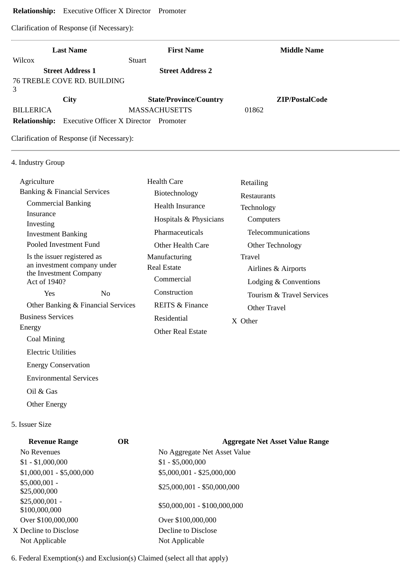**Relationship:** Executive Officer X Director Promoter

Clarification of Response (if Necessary):

|                      | <b>Last Name</b>                          | <b>First Name</b>             |       | <b>Middle Name</b> |
|----------------------|-------------------------------------------|-------------------------------|-------|--------------------|
| Wilcox               |                                           | Stuart                        |       |                    |
|                      | <b>Street Address 1</b>                   | <b>Street Address 2</b>       |       |                    |
|                      | 76 TREBLE COVE RD. BUILDING               |                               |       |                    |
| 3                    |                                           |                               |       |                    |
|                      | City                                      | <b>State/Province/Country</b> |       | ZIP/PostalCode     |
| <b>BILLERICA</b>     |                                           | <b>MASSACHUSETTS</b>          | 01862 |                    |
| <b>Relationship:</b> | <b>Executive Officer X Director</b>       | Promoter                      |       |                    |
|                      | Clarification of Response (if Necessary): |                               |       |                    |

## 4. Industry Group

| Agriculture                                                |                | <b>Health Care</b>           | Retailing                              |
|------------------------------------------------------------|----------------|------------------------------|----------------------------------------|
| <b>Banking &amp; Financial Services</b>                    |                | Biotechnology                | Restaurants                            |
| <b>Commercial Banking</b>                                  |                | <b>Health Insurance</b>      | Technology                             |
| Insurance                                                  |                | Hospitals & Physicians       | Computers                              |
| Investing<br><b>Investment Banking</b>                     |                | Pharmaceuticals              | Telecommunications                     |
| Pooled Investment Fund                                     |                | <b>Other Health Care</b>     | Other Technology                       |
| Is the issuer registered as<br>an investment company under |                | Manufacturing                | <b>Travel</b>                          |
| the Investment Company                                     |                | <b>Real Estate</b>           | Airlines & Airports                    |
| Act of 1940?                                               |                | Commercial                   | Lodging & Conventions                  |
| Yes                                                        | N <sub>0</sub> | Construction                 | Tourism & Travel Services              |
| Other Banking & Financial Services                         |                | <b>REITS &amp; Finance</b>   | Other Travel                           |
| <b>Business Services</b>                                   |                | Residential                  | X Other                                |
| Energy                                                     |                | <b>Other Real Estate</b>     |                                        |
| Coal Mining                                                |                |                              |                                        |
| <b>Electric Utilities</b>                                  |                |                              |                                        |
| <b>Energy Conservation</b>                                 |                |                              |                                        |
| <b>Environmental Services</b>                              |                |                              |                                        |
| Oil & Gas                                                  |                |                              |                                        |
| <b>Other Energy</b>                                        |                |                              |                                        |
| 5. Issuer Size                                             |                |                              |                                        |
| <b>Revenue Range</b>                                       | <b>OR</b>      |                              | <b>Aggregate Net Asset Value Range</b> |
| No Revenues                                                |                | No Aggregate Net Asset Value |                                        |
| $$1 - $1,000,000$                                          |                | $$1 - $5,000,000$            |                                        |
| $$1,000,001 - $5,000,000$                                  |                | \$5,000,001 - \$25,000,000   |                                        |
| $$5,000,001 -$<br>\$25,000,000                             |                | \$25,000,001 - \$50,000,000  |                                        |
| \$25,000,001 -<br>\$100,000,000                            |                | \$50,000,001 - \$100,000,000 |                                        |
| Over \$100,000,000                                         |                | Over \$100,000,000           |                                        |
| X Decline to Disclose                                      |                | Decline to Disclose          |                                        |
| Not Applicable                                             |                | Not Applicable               |                                        |

6. Federal Exemption(s) and Exclusion(s) Claimed (select all that apply)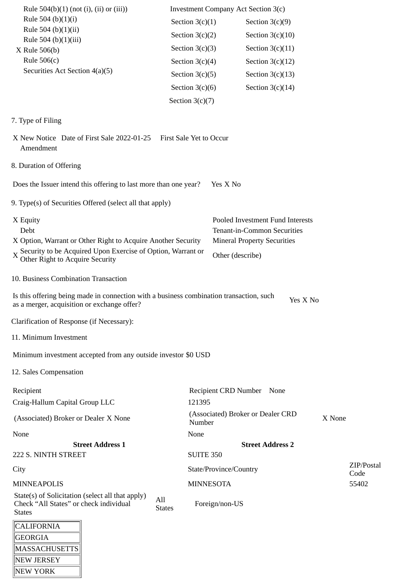| Rule $504(b)(1)$ (not (i), (ii) or (iii))                                                                                              |                         |                        | <b>Investment Company Act Section 3(c)</b> |        |            |
|----------------------------------------------------------------------------------------------------------------------------------------|-------------------------|------------------------|--------------------------------------------|--------|------------|
| Rule 504 (b) $(1)(i)$                                                                                                                  | Section $3(c)(1)$       |                        | Section $3(c)(9)$                          |        |            |
| Rule 504 (b)(1)(ii)                                                                                                                    | Section $3(c)(2)$       |                        | Section $3(c)(10)$                         |        |            |
| Rule 504 (b)(1)(iii)<br>$X$ Rule 506(b)                                                                                                | Section $3(c)(3)$       |                        | Section $3(c)(11)$                         |        |            |
| Rule $506(c)$                                                                                                                          | Section $3(c)(4)$       |                        | Section $3(c)(12)$                         |        |            |
| Securities Act Section 4(a)(5)                                                                                                         | Section $3(c)(5)$       |                        | Section $3(c)(13)$                         |        |            |
|                                                                                                                                        | Section $3(c)(6)$       |                        | Section $3(c)(14)$                         |        |            |
|                                                                                                                                        | Section $3(c)(7)$       |                        |                                            |        |            |
| 7. Type of Filing                                                                                                                      |                         |                        |                                            |        |            |
|                                                                                                                                        |                         |                        |                                            |        |            |
| X New Notice Date of First Sale 2022-01-25<br>Amendment                                                                                | First Sale Yet to Occur |                        |                                            |        |            |
| 8. Duration of Offering                                                                                                                |                         |                        |                                            |        |            |
| Does the Issuer intend this offering to last more than one year?                                                                       |                         | Yes X No               |                                            |        |            |
| 9. Type(s) of Securities Offered (select all that apply)                                                                               |                         |                        |                                            |        |            |
| X Equity                                                                                                                               |                         |                        | Pooled Investment Fund Interests           |        |            |
| Debt                                                                                                                                   |                         |                        | Tenant-in-Common Securities                |        |            |
| X Option, Warrant or Other Right to Acquire Another Security<br>X Security to be Acquired Upon Exercise of Option, Warrant or          |                         |                        | <b>Mineral Property Securities</b>         |        |            |
| Other Right to Acquire Security                                                                                                        |                         | Other (describe)       |                                            |        |            |
| 10. Business Combination Transaction                                                                                                   |                         |                        |                                            |        |            |
| Is this offering being made in connection with a business combination transaction, such<br>as a merger, acquisition or exchange offer? |                         |                        | Yes X No                                   |        |            |
| Clarification of Response (if Necessary):                                                                                              |                         |                        |                                            |        |            |
| 11. Minimum Investment                                                                                                                 |                         |                        |                                            |        |            |
| Minimum investment accepted from any outside investor \$0 USD                                                                          |                         |                        |                                            |        |            |
| 12. Sales Compensation                                                                                                                 |                         |                        |                                            |        |            |
| Recipient                                                                                                                              |                         | Recipient CRD Number   | None                                       |        |            |
| Craig-Hallum Capital Group LLC                                                                                                         | 121395                  |                        |                                            |        |            |
| (Associated) Broker or Dealer X None                                                                                                   | Number                  |                        | (Associated) Broker or Dealer CRD          | X None |            |
| None                                                                                                                                   | None                    |                        |                                            |        |            |
| <b>Street Address 1</b>                                                                                                                |                         |                        | <b>Street Address 2</b>                    |        |            |
| 222 S. NINTH STREET                                                                                                                    | <b>SUITE 350</b>        |                        |                                            |        | ZIP/Postal |
| City                                                                                                                                   |                         | State/Province/Country |                                            |        | Code       |
| <b>MINNEAPOLIS</b>                                                                                                                     | <b>MINNESOTA</b>        |                        |                                            |        | 55402      |
| State(s) of Solicitation (select all that apply)<br>All<br>Check "All States" or check individual<br><b>States</b><br><b>States</b>    |                         | Foreign/non-US         |                                            |        |            |
| <b>CALIFORNIA</b>                                                                                                                      |                         |                        |                                            |        |            |
| <b>GEORGIA</b>                                                                                                                         |                         |                        |                                            |        |            |
| <b>MASSACHUSETTS</b><br><b>NEW JERSEY</b>                                                                                              |                         |                        |                                            |        |            |

**NEW YORK**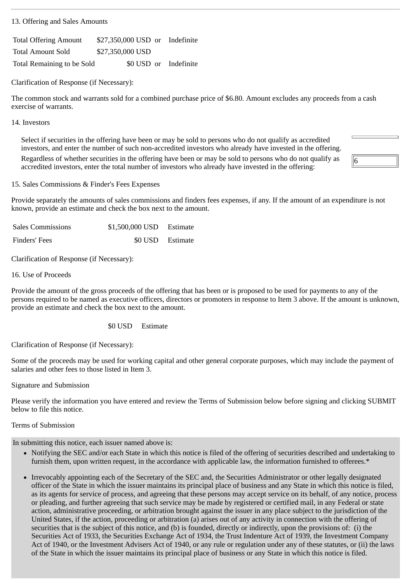13. Offering and Sales Amounts

| <b>Total Offering Amount</b> | \$27,350,000 USD or Indefinite |                       |
|------------------------------|--------------------------------|-----------------------|
| <b>Total Amount Sold</b>     | \$27,350,000 USD               |                       |
| Total Remaining to be Sold   |                                | \$0 USD or Indefinite |

Clarification of Response (if Necessary):

The common stock and warrants sold for a combined purchase price of \$6.80. Amount excludes any proceeds from a cash exercise of warrants.

#### 14. Investors

Select if securities in the offering have been or may be sold to persons who do not qualify as accredited investors, and enter the number of such non-accredited investors who already have invested in the offering. Regardless of whether securities in the offering have been or may be sold to persons who do not qualify as accredited investors, enter the total number of investors who already have invested in the offering:

|  |  | 15. Sales Commissions & Finder's Fees Expenses |  |  |  |  |
|--|--|------------------------------------------------|--|--|--|--|
|--|--|------------------------------------------------|--|--|--|--|

Provide separately the amounts of sales commissions and finders fees expenses, if any. If the amount of an expenditure is not known, provide an estimate and check the box next to the amount.

6

| <b>Sales Commissions</b> | \$1,500,000 USD Estimate |  |
|--------------------------|--------------------------|--|
| Finders' Fees            | \$0 USD Estimate         |  |

Clarification of Response (if Necessary):

#### 16. Use of Proceeds

Provide the amount of the gross proceeds of the offering that has been or is proposed to be used for payments to any of the persons required to be named as executive officers, directors or promoters in response to Item 3 above. If the amount is unknown, provide an estimate and check the box next to the amount.

#### \$0 USD Estimate

Clarification of Response (if Necessary):

Some of the proceeds may be used for working capital and other general corporate purposes, which may include the payment of salaries and other fees to those listed in Item 3.

#### Signature and Submission

Please verify the information you have entered and review the Terms of Submission below before signing and clicking SUBMIT below to file this notice.

#### Terms of Submission

In submitting this notice, each issuer named above is:

- Notifying the SEC and/or each State in which this notice is filed of the offering of securities described and undertaking to furnish them, upon written request, in the accordance with applicable law, the information furnished to offerees.\*
- Irrevocably appointing each of the Secretary of the SEC and, the Securities Administrator or other legally designated officer of the State in which the issuer maintains its principal place of business and any State in which this notice is filed, as its agents for service of process, and agreeing that these persons may accept service on its behalf, of any notice, process or pleading, and further agreeing that such service may be made by registered or certified mail, in any Federal or state action, administrative proceeding, or arbitration brought against the issuer in any place subject to the jurisdiction of the United States, if the action, proceeding or arbitration (a) arises out of any activity in connection with the offering of securities that is the subject of this notice, and (b) is founded, directly or indirectly, upon the provisions of: (i) the Securities Act of 1933, the Securities Exchange Act of 1934, the Trust Indenture Act of 1939, the Investment Company Act of 1940, or the Investment Advisers Act of 1940, or any rule or regulation under any of these statutes, or (ii) the laws of the State in which the issuer maintains its principal place of business or any State in which this notice is filed.